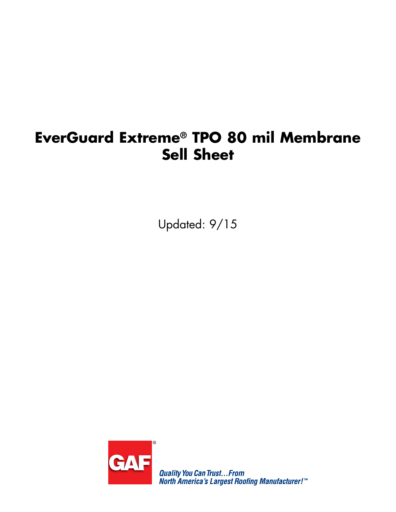# **EverGuard Extreme® TPO 80 mil Membrane Sell Sheet**

Updated: 9/15



**Quality You Can Trust...From<br>North America's Largest Roofing Manufacturer!"**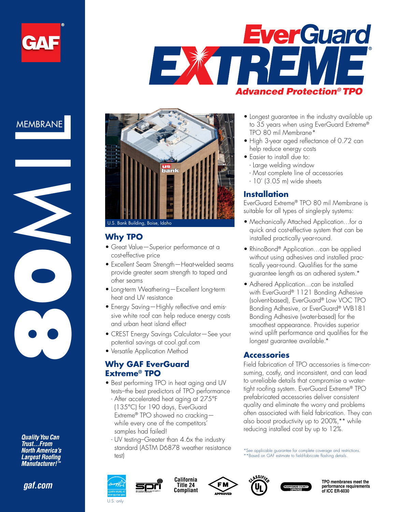

# **EverGuard** EXTRE *Advanced Protection® TPO*



**Quality You Can<br>Trust...From North America's Largest Roofing Manufacturer!** 

*gaf.com*



### **Why TPO**

- Great Value—Superior performance at a cost-effective price
- Excellent Seam Strength—Heat-welded seams provide greater seam strength to taped and other seams
- Long-term Weathering—Excellent long-term heat and UV resistance
- Energy Saving-Highly reflective and emissive white roof can help reduce energy costs and urban heat island effect
- CREST Energy Savings Calculator—See your potential savings at cool.gaf.com
- Versatile Application Method

#### **Why GAF EverGuard Extreme® TPO**

- Best performing TPO in heat aging and UV tests–the best predictors of TPO performance
	- After accelerated heat aging at 275°F (135°C) for 190 days, EverGuard Extreme® TPO showed no cracking while every one of the competitors' samples had failed!
	- UV testing–Greater than 4.6x the industry standard (ASTM D6878 weather resistance test)









**TPO membranes meet the performance requirements of ICC ER-6030**

# longest guarantee available.\*

#### **Accessories**

Field fabrication of TPO accessories is time-consuming, costly, and inconsistent, and can lead to unreliable details that compromise a watertight roofing system. EverGuard Extreme® TPO prefabricated accessories deliver consistent quality and eliminate the worry and problems often associated with field fabrication. They can also boost productivity up to 200%,\*\* while reducing installed cost by up to 12%.

• Longest guarantee in the industry available up to 35 years when using EverGuard Extreme®

• High 3-year aged reflectance of 0.72 can

EverGuard Extreme® TPO 80 mil Membrane is suitable for all types of single-ply systems: • Mechanically Attached Application...for a quick and cost-effective system that can be

• RhinoBond<sup>®</sup> Application...can be applied without using adhesives and installed practically year-round. Qualifies for the same guarantee length as an adhered system.\* • Adhered Application...can be installed with EverGuard® 1121 Bonding Adhesive (solvent-based), EverGuard® Low VOC TPO Bonding Adhesive, or EverGuard® WB181 Bonding Adhesive (water-based) for the smoothest appearance. Provides superior wind uplift performance and qualifies for the

- Most complete line of accessories

TPO 80 mil Membrane\*

help reduce energy costs • Easier to install due to: - Large welding window

- 10' (3.05 m) wide sheets

installed practically year-round.

**Installation**

\*See applicable guarantee for complete coverage and restrictions. \*\*Based on GAF estimate to field-fabricate flashing details.



## U.S. only